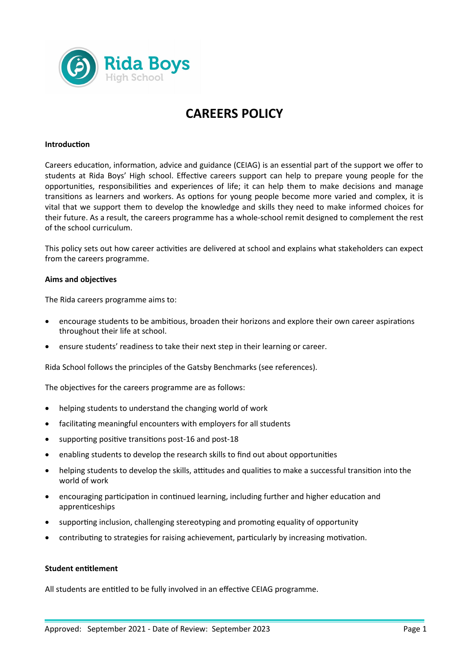

# **CAREERS POLICY**

## **Introduction**

Careers education, information, advice and guidance (CEIAG) is an essential part of the support we offer to students at Rida Boys' High school. Effective careers support can help to prepare young people for the opportunities, responsibilities and experiences of life; it can help them to make decisions and manage transitions as learners and workers. As options for young people become more varied and complex, it is vital that we support them to develop the knowledge and skills they need to make informed choices for their future. As a result, the careers programme has a whole-school remit designed to complement the rest of the school curriculum.

This policy sets out how career activities are delivered at school and explains what stakeholders can expect from the careers programme.

### **Aims and objectives**

The Rida careers programme aims to:

- encourage students to be ambitious, broaden their horizons and explore their own career aspirations throughout their life at school.
- ensure students' readiness to take their next step in their learning or career.

Rida School follows the principles of the Gatsby Benchmarks (see references).

The objectives for the careers programme are as follows:

- helping students to understand the changing world of work
- facilitating meaningful encounters with employers for all students
- supporting positive transitions post-16 and post-18
- enabling students to develop the research skills to find out about opportunities
- helping students to develop the skills, attitudes and qualities to make a successful transition into the world of work
- encouraging participation in continued learning, including further and higher education and apprenticeships
- supporting inclusion, challenging stereotyping and promoting equality of opportunity
- contributing to strategies for raising achievement, particularly by increasing motivation.

# **Student entitlement**

All students are entitled to be fully involved in an effective CEIAG programme.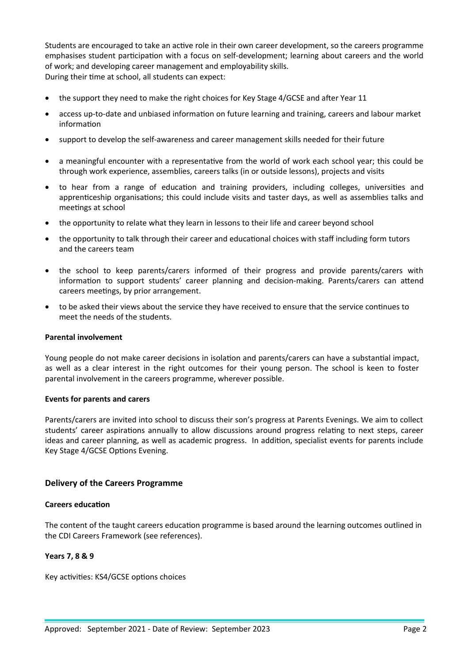Students are encouraged to take an active role in their own career development, so the careers programme emphasises student participation with a focus on self-development; learning about careers and the world of work; and developing career management and employability skills. During their time at school, all students can expect:

- the support they need to make the right choices for Key Stage 4/GCSE and after Year 11
- access up-to-date and unbiased information on future learning and training, careers and labour market information
- support to develop the self-awareness and career management skills needed for their future
- a meaningful encounter with a representative from the world of work each school year; this could be through work experience, assemblies, careers talks (in or outside lessons), projects and visits
- to hear from a range of education and training providers, including colleges, universities and apprenticeship organisations; this could include visits and taster days, as well as assemblies talks and meetings at school
- the opportunity to relate what they learn in lessons to their life and career beyond school
- the opportunity to talk through their career and educational choices with staff including form tutors and the careers team
- the school to keep parents/carers informed of their progress and provide parents/carers with information to support students' career planning and decision-making. Parents/carers can attend careers meetings, by prior arrangement.
- to be asked their views about the service they have received to ensure that the service continues to meet the needs of the students.

### **Parental involvement**

Young people do not make career decisions in isolation and parents/carers can have a substantial impact, as well as a clear interest in the right outcomes for their young person. The school is keen to foster parental involvement in the careers programme, wherever possible.

### **Events for parents and carers**

Parents/carers are invited into school to discuss their son's progress at Parents Evenings. We aim to collect students' career aspirations annually to allow discussions around progress relating to next steps, career ideas and career planning, as well as academic progress. In addition, specialist events for parents include Key Stage 4/GCSE Options Evening.

# **Delivery of the Careers Programme**

### **Careers education**

The content of the taught careers education programme is based around the learning outcomes outlined in the CDI Careers Framework (see references).

# **Years 7, 8 & 9**

Key activities: KS4/GCSE options choices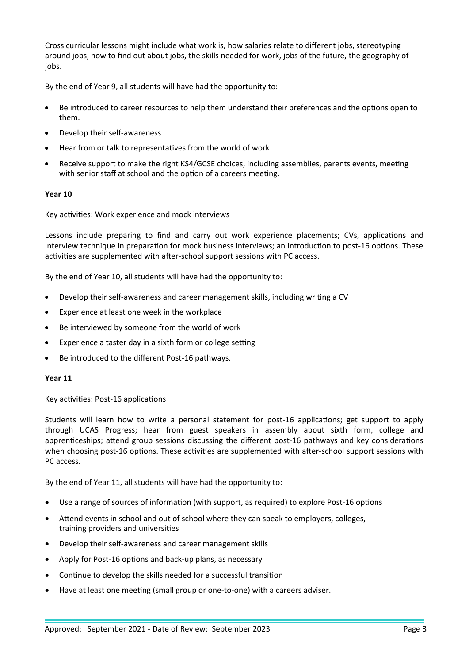Cross curricular lessons might include what work is, how salaries relate to different jobs, stereotyping around jobs, how to find out about jobs, the skills needed for work, jobs of the future, the geography of jobs.

By the end of Year 9, all students will have had the opportunity to:

- Be introduced to career resources to help them understand their preferences and the options open to them.
- Develop their self-awareness
- Hear from or talk to representatives from the world of work
- Receive support to make the right KS4/GCSE choices, including assemblies, parents events, meeting with senior staff at school and the option of a careers meeting.

# **Year 10**

Key activities: Work experience and mock interviews

Lessons include preparing to find and carry out work experience placements; CVs, applications and interview technique in preparation for mock business interviews; an introduction to post-16 options. These activities are supplemented with after-school support sessions with PC access.

By the end of Year 10, all students will have had the opportunity to:

- Develop their self-awareness and career management skills, including writing a CV
- Experience at least one week in the workplace
- Be interviewed by someone from the world of work
- Experience a taster day in a sixth form or college setting
- Be introduced to the different Post-16 pathways.

### **Year 11**

Key activities: Post-16 applications

Students will learn how to write a personal statement for post-16 applications; get support to apply through UCAS Progress; hear from guest speakers in assembly about sixth form, college and apprenticeships; attend group sessions discussing the different post-16 pathways and key considerations when choosing post-16 options. These activities are supplemented with after-school support sessions with PC access.

By the end of Year 11, all students will have had the opportunity to:

- Use a range of sources of information (with support, as required) to explore Post-16 options
- Attend events in school and out of school where they can speak to employers, colleges, training providers and universities
- Develop their self-awareness and career management skills
- Apply for Post-16 options and back-up plans, as necessary
- Continue to develop the skills needed for a successful transition
- Have at least one meeting (small group or one-to-one) with a careers adviser.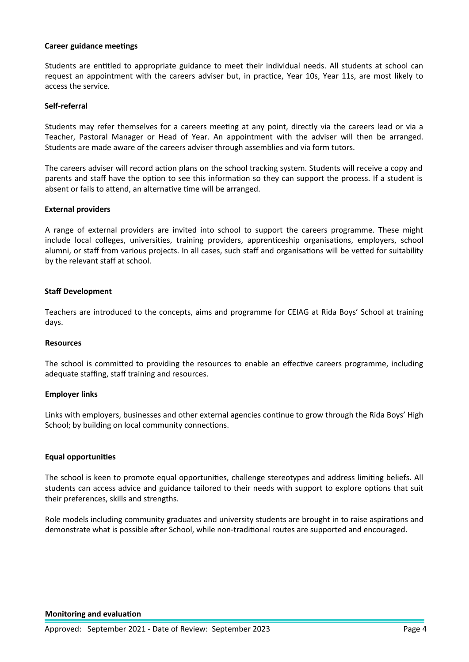## **Career guidance meetings**

Students are entitled to appropriate guidance to meet their individual needs. All students at school can request an appointment with the careers adviser but, in practice, Year 10s, Year 11s, are most likely to access the service.

# **Self-referral**

Students may refer themselves for a careers meeting at any point, directly via the careers lead or via a Teacher, Pastoral Manager or Head of Year. An appointment with the adviser will then be arranged. Students are made aware of the careers adviser through assemblies and via form tutors.

The careers adviser will record action plans on the school tracking system. Students will receive a copy and parents and staff have the option to see this information so they can support the process. If a student is absent or fails to attend, an alternative time will be arranged.

## **External providers**

A range of external providers are invited into school to support the careers programme. These might include local colleges, universities, training providers, apprenticeship organisations, employers, school alumni, or staff from various projects. In all cases, such staff and organisations will be vetted for suitability by the relevant staff at school.

## **Staff Development**

Teachers are introduced to the concepts, aims and programme for CEIAG at Rida Boys' School at training days.

### **Resources**

The school is committed to providing the resources to enable an effective careers programme, including adequate staffing, staff training and resources.

### **Employer links**

Links with employers, businesses and other external agencies continue to grow through the Rida Boys' High School; by building on local community connections.

# **Equal opportunities**

The school is keen to promote equal opportunities, challenge stereotypes and address limiting beliefs. All students can access advice and guidance tailored to their needs with support to explore options that suit their preferences, skills and strengths.

Role models including community graduates and university students are brought in to raise aspirations and demonstrate what is possible after School, while non-traditional routes are supported and encouraged.